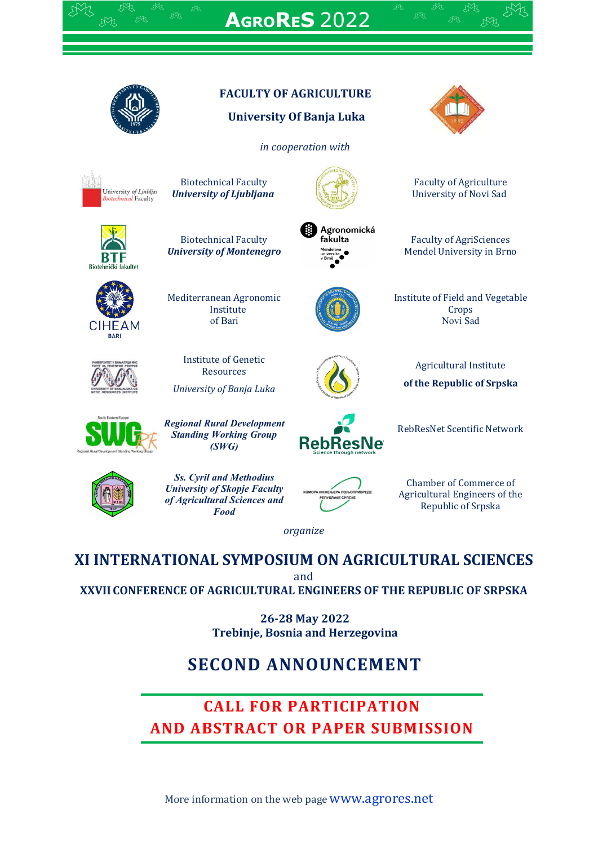

**AGRORES** 2022



# **FACULTY OF AGRICULTURE**

## **University Of Banja Luka**

*in cooperation with*

University of Ljublja<br>Biotechnical Faculty

Biotechnical Faculty *University of Ljubljana*



Agronomická fakulta



Biotechnical Faculty *University of Montenegro*



Mediterranean Agronomic Institute of Bari

> Institute of Genetic Resources

*University of Banja Luka*



Agricultural Institute

Faculty of Agriculture University of Novi Sad

Faculty of AgriSciences Mendel University in Brno

Institute of Field and Vegetable Crops Novi Sad

**of the Republic of Srpska**



*Regional Rural Development Standing Working Group (SWG)*



RebResNet Scentific Network



*Ss. Cyril and Methodius University of Skopje Faculty of Agricultural Sciences and Food*



Chamber of Commerce of Agricultural Engineers of the Republic of Srpska

*organize*

# **XI INTERNATIONAL SYMPOSIUM ON AGRICULTURAL SCIENCES**

and

**XXVII CONFERENCE OF AGRICULTURAL ENGINEERS OF THE REPUBLIC OF SRPSKA**

**26-28 May 2022 Trebinje, Bosnia and Herzegovina**

# **SECOND ANNOUNCEMENT**

# **CALL FOR PARTICIPATION AND ABSTRACT OR PAPER SUBMISSION**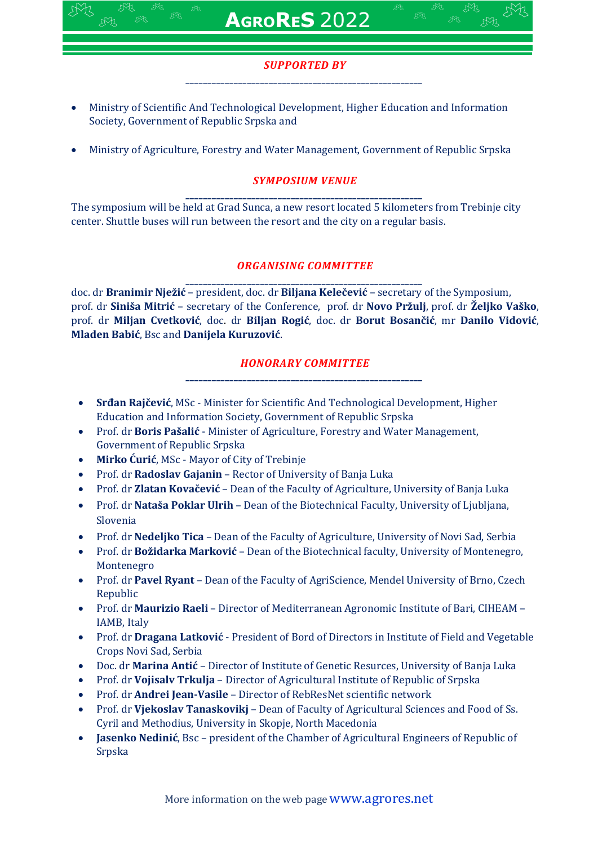## *SUPPORTED BY \_\_\_\_\_\_\_\_\_\_\_\_\_\_\_\_\_\_\_\_\_\_\_\_\_\_\_\_\_\_\_\_\_\_\_\_\_\_\_\_\_\_\_\_\_\_\_\_\_\_\_\_\_\_*

- Ministry of Scientific And Technological Development, Higher Education and Information Society, Government of Republic Srpska and
- Ministry of Agriculture, Forestry and Water Management, Government of Republic Srpska

## *SYMPOSIUM VENUE*

*\_\_\_\_\_\_\_\_\_\_\_\_\_\_\_\_\_\_\_\_\_\_\_\_\_\_\_\_\_\_\_\_\_\_\_\_\_\_\_\_\_\_\_\_\_\_\_\_\_\_\_\_\_\_* The symposium will be held at Grad Sunca, a new resort located 5 kilometers from Trebinje city center. Shuttle buses will run between the resort and the city on a regular basis.

## *ORGANISING COMMITTEE*

*\_\_\_\_\_\_\_\_\_\_\_\_\_\_\_\_\_\_\_\_\_\_\_\_\_\_\_\_\_\_\_\_\_\_\_\_\_\_\_\_\_\_\_\_\_\_\_\_\_\_\_\_\_\_* doc. dr **Branimir Nježić** – president, doc. dr **Biljana Kelečević** – secretary of the Symposium, prof. dr **Siniša Mitrić** – secretary of the Conference, prof. dr **Novo Pržulj**, prof. dr **Željko Vaško**, prof. dr **Miljan Cvetković**, doc. dr **Biljan Rogić**, doc. dr **Borut Bosančić**, mr **Danilo Vidović**, **Mladen Babić**, Bsc and **Danijela Kuruzović**.

#### *HONORARY COMMITTEE \_\_\_\_\_\_\_\_\_\_\_\_\_\_\_\_\_\_\_\_\_\_\_\_\_\_\_\_\_\_\_\_\_\_\_\_\_\_\_\_\_\_\_\_\_\_\_\_\_\_\_\_\_\_*

- **Srđan Rajčević**, MSc Minister for Scientific And Technological Development, Higher Education and Information Society, Government of Republic Srpska
- Prof. dr **Boris Pašalić** Minister of Agriculture, Forestry and Water Management, Government of Republic Srpska
- **Mirko Ćurić**, MSc Mayor of City of Trebinje
- Prof. dr **Radoslav Gajanin** Rector of University of Banja Luka
- Prof. dr **Zlatan Kovačević** Dean of the Faculty of Agriculture, University of Banja Luka
- Prof. dr **Nataša Poklar Ulrih** Dean of the Biotechnical Faculty, University of Ljubljana, Slovenia
- Prof. dr **Nedeljko Tica** Dean of the Faculty of Agriculture, University of Novi Sad, Serbia
- Prof. dr **Božidarka Marković** Dean of the Biotechnical faculty, University of Montenegro, Montenegro
- Prof. dr **Pavel Ryant** Dean of the Faculty of AgriScience, Mendel University of Brno, Czech Republic
- Prof. dr **Maurizio Raeli** Director of Mediterranean Agronomic Institute of Bari, CIHEAM IAMB, Italy
- Prof. dr **Dragana Latković** President of Bord of Directors in Institute of Field and Vegetable Crops Novi Sad, Serbia
- Doc. dr **Marina Antić** Director of Institute of Genetic Resurces, University of Banja Luka
- Prof. dr **Vojisalv Trkulja** Director of Agricultural Institute of Republic of Srpska
- Prof. dr **Andrei Jean-Vasile** Director of RebResNet scientific network
- Prof. dr **Vjekoslav Tanaskovikj** Dean of Faculty of Agricultural Sciences and Food of Ss. Cyril and Methodius, University in Skopje, North Macedonia
- **Jasenko Nedinić**, Bsc president of the Chamber of Agricultural Engineers of Republic of Srpska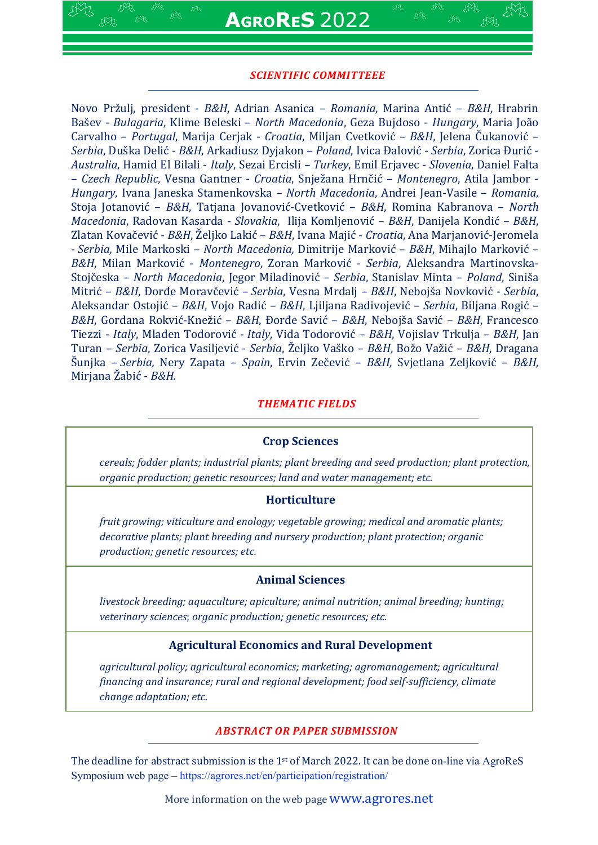### *SCIENTIFIC COMMITTEEE*

Novo Pržulj, president - *B&H*, Adrian Asanica – *Romania*, Marina Antić – *B&H*, Hrabrin Bašev - *Bulagaria*, Klime Beleski – *North Macedonia*, Geza Bujdoso - *Hungary*, Maria João Carvalho – *Portugal*, Marija Cerjak - *Croatia*, Miljan Cvetković – *B&H*, Jelena Čukanović – *Serbia*, Duška Delić - *B&H*, Arkadiusz Dyjakon – *Poland*, Ivica Đalović - *Serbia*, Zorica Đurić - *Australia*, Hamid El Bilali - *Italy*, Sezai Ercisli – *Turkey*, Emil Erjavec - *Slovenia*, Daniel Falta – *Czech Republic*, Vesna Gantner - *Croatia*, Snježana Hrnčić – *Montenegro*, Atila Jambor - *Hungary*, Ivana Janeska Stamenkovska – *North Macedonia*, Andrei Jean-Vasile – *Romania*, Stoja Jotanović – *B&H*, Tatjana Jovanović-Cvetković – *B&H*, Romina Kabranova – *North Macedonia*, Radovan Kasarda - *Slovakia*, Ilija Komljenović – *B&H*, Danijela Kondić – *B&H*, Zlatan Kovačević - *B&H*, Željko Lakić – *B&H*, Ivana Majić - *Croatia*, Ana Marjanović-Jeromela - *Serbia,* Mile Markoski – *North Macedonia,* Dimitrije Marković – *B&H*, Mihajlo Marković – *B&H*, Milan Marković - *Montenegro*, Zoran Marković - *Serbia*, Aleksandra Martinovska-Stojčeska – *North Macedonia*, Jegor Miladinović – *Serbia*, Stanislav Minta – *Poland*, Siniša Mitrić – *B&H*, Đorđe Moravčević – *Serbia*, Vesna Mrdalj – *B&H*, Nebojša Novković - *Serbia*, Aleksandar Ostojić – *B&H*, Vojo Radić – *B&H*, Ljiljana Radivojević – *Serbia*, Biljana Rogić – *B&H*, Gordana Rokvić-Knežić – *B&H*, Đorđe Savić – *B&H*, Nebojša Savić – *B&H*, Francesco Tiezzi - *Italy*, Mladen Todorović - *Italy,* Vida Todorović – *B&H*, Vojislav Trkulja – *B&H*, Jan Turan – *Serbia*, Zorica Vasiljević - *Serbia*, Željko Vaško – *B&H*, Božo Važić – *B&H*, Dragana Šunjka – *Serbia,* Nery Zapata – *Spain*, Ervin Zečević – *B&H*, Svjetlana Zeljković – *B&H,* Mirjana Žabić - *B&H.*

#### *THEMATIC FIELDS*

#### **Crop Sciences**

*cereals; fodder plants; industrial plants; plant breeding and seed production; plant protection, organic production; genetic resources; land and water management; etc.*

#### **Horticulture**

*fruit growing; viticulture and enology; vegetable growing; medical and aromatic plants; decorative plants; plant breeding and nursery production; plant protection; organic production; genetic resources; etc.*

#### **Animal Sciences**

*livestock breeding; aquaculture; apiculture; animal nutrition; animal breeding; hunting; veterinary sciences*; *organic production; genetic resources; etc.*

#### **Agricultural Economics and Rural Development**

*agricultural policy; agricultural economics; marketing; agromanagement; agricultural financing and insurance; rural and regional development; food self-sufficiency, climate change adaptation; etc.*

#### *ABSTRACT OR PAPER SUBMISSION*

The deadline for abstract submission is the  $1<sup>st</sup>$  of March 2022. It can be done on-line via AgroReS Symposium web page – https://agrores.net/en/participation/registration/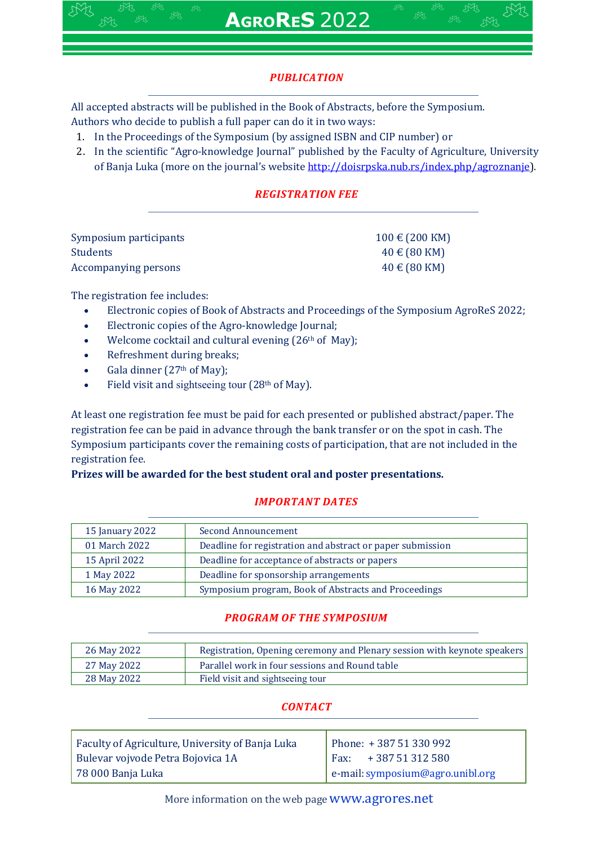# *PUBLICATION*

All accepted abstracts will be published in the Book of Abstracts, before the Symposium. Authors who decide to publish a full paper can do it in two ways:

- 1. In the Proceedings of the Symposium (by assigned ISBN and CIP number) or
- 2. In the scientific "Agro-knowledge Journal" published by the Faculty of Agriculture, University of Banja Luka (more on the journal's website http://doisrpska.nub.rs/index.php/agroznanje).

# *REGISTRATION FEE*

| Symposium participants | $100 \text{ } \in (200 \text{ KM})$ |
|------------------------|-------------------------------------|
| <b>Students</b>        | $40 \text{ } \in (80 \text{ KM})$   |
| Accompanying persons   | $40 \text{ } \in (80 \text{ KM})$   |

The registration fee includes:

- Electronic copies of Book of Abstracts and Proceedings of the Symposium AgroReS 2022;
- Electronic copies of the Agro-knowledge Journal;
- Welcome cocktail and cultural evening (26<sup>th</sup> of May);
- Refreshment during breaks;
- Gala dinner (27th of May);
- Field visit and sightseeing tour (28th of May).

At least one registration fee must be paid for each presented or published abstract/paper. The registration fee can be paid in advance through the bank transfer or on the spot in cash. The Symposium participants cover the remaining costs of participation, that are not included in the registration fee.

## **Prizes will be awarded for the best student oral and poster presentations.**

## *IMPORTANT DATES*

| 15 January 2022 | Second Announcement                                        |
|-----------------|------------------------------------------------------------|
| 01 March 2022   | Deadline for registration and abstract or paper submission |
| 15 April 2022   | Deadline for acceptance of abstracts or papers             |
| 1 May 2022      | Deadline for sponsorship arrangements                      |
| 16 May 2022     | Symposium program, Book of Abstracts and Proceedings       |

## *PROGRAM OF THE SYMPOSIUM*

| 26 May 2022 | Registration, Opening ceremony and Plenary session with keynote speakers |
|-------------|--------------------------------------------------------------------------|
| 27 May 2022 | Parallel work in four sessions and Round table                           |
| 28 May 2022 | Field visit and sightseeing tour                                         |

## *CONTACT*

| Faculty of Agriculture, University of Banja Luka | Phone: +387 51 330 992           |
|--------------------------------------------------|----------------------------------|
| Bulevar vojvode Petra Bojovica 1A                | $\vert$ Fax: +387 51 312 580     |
| † 78 000 Banja Luka                              | e-mail: symposium@agro.unibl.org |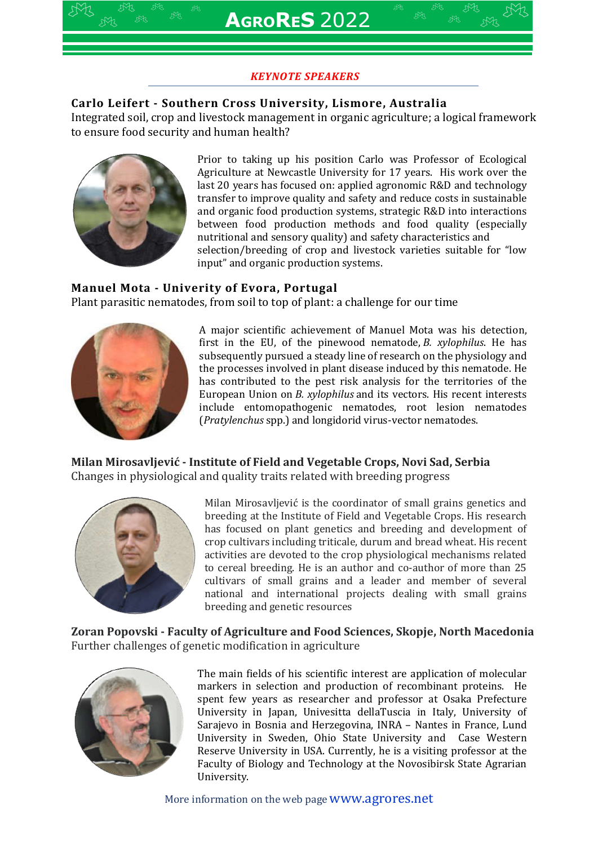## *KEYNOTE SPEAKERS*

## **Carlo Leifert - Southern Cross University, Lismore, Australia**

Integrated soil, crop and livestock management in organic agriculture; a logical framework to ensure food security and human health?



Prior to taking up his position Carlo was Professor of Ecological Agriculture at Newcastle University for 17 years. His work over the last 20 years has focused on: applied agronomic R&D and technology transfer to improve quality and safety and reduce costs in sustainable and organic food production systems, strategic R&D into interactions between food production methods and food quality (especially nutritional and sensory quality) and safety characteristics and selection/breeding of crop and livestock varieties suitable for "low input" and organic production systems.

## **Manuel Mota - Univerity of Evora, Portugal**

Plant parasitic nematodes, from soil to top of plant: a challenge for our time



A major scientific achievement of Manuel Mota was his detection, first in the EU, of the pinewood nematode, *B. xylophilus*. He has subsequently pursued a steady line of research on the physiology and the processes involved in plant disease induced by this nematode. He has contributed to the pest risk analysis for the territories of the European Union on *B. xylophilus* and its vectors. His recent interests include entomopathogenic nematodes, root lesion nematodes (*Pratylenchus* spp.) and longidorid virus-vector nematodes.

**Milan Mirosavljević - Institute of Field and Vegetable Crops, Novi Sad, Serbia** Changes in physiological and quality traits related with breeding progress



Milan Mirosavljević is the coordinator of small grains genetics and breeding at the Institute of Field and Vegetable Crops. His research has focused on plant genetics and breeding and development of crop cultivars including triticale, durum and bread wheat. His recent activities are devoted to the crop physiological mechanisms related to cereal breeding. He is an author and co-author of more than 25 cultivars of small grains and a leader and member of several national and international projects dealing with small grains breeding and genetic resources

**Zoran Popovski - Faculty of Agriculture and Food Sciences, Skopje, North Macedonia** Further challenges of genetic modification in agriculture



The main fields of his scientific interest are application of molecular markers in selection and production of recombinant proteins. He spent few years as researcher and professor at Osaka Prefecture University in Japan, Univesitta dellaTuscia in Italy, University of Sarajevo in Bosnia and Herzegovina, INRA – Nantes in France, Lund University in Sweden, Ohio State University and Case Western Reserve University in USA. Currently, he is a visiting professor at the Faculty of Biology and Technology at the Novosibirsk State Agrarian University.